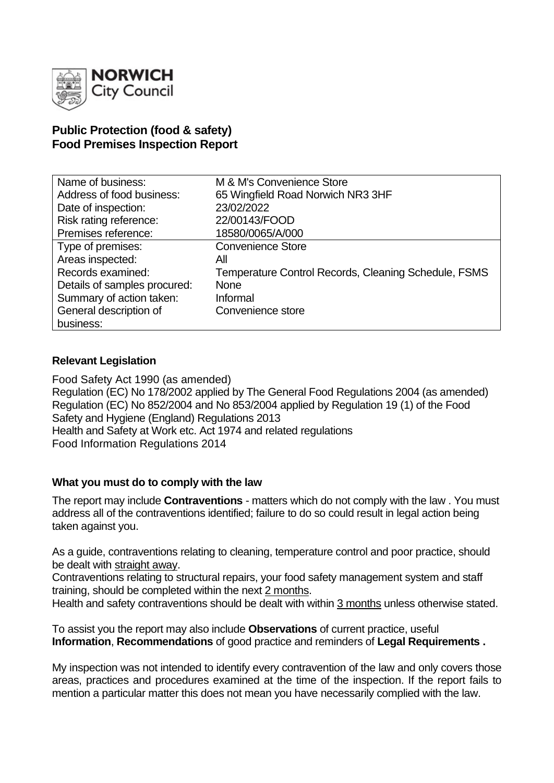

## **Public Protection (food & safety) Food Premises Inspection Report**

| Name of business:            | M & M's Convenience Store                            |
|------------------------------|------------------------------------------------------|
| Address of food business:    | 65 Wingfield Road Norwich NR3 3HF                    |
| Date of inspection:          | 23/02/2022                                           |
| Risk rating reference:       | 22/00143/FOOD                                        |
| Premises reference:          | 18580/0065/A/000                                     |
| Type of premises:            | <b>Convenience Store</b>                             |
| Areas inspected:             | All                                                  |
| Records examined:            | Temperature Control Records, Cleaning Schedule, FSMS |
| Details of samples procured: | <b>None</b>                                          |
| Summary of action taken:     | Informal                                             |
| General description of       | Convenience store                                    |
| business:                    |                                                      |

### **Relevant Legislation**

Food Safety Act 1990 (as amended) Regulation (EC) No 178/2002 applied by The General Food Regulations 2004 (as amended) Regulation (EC) No 852/2004 and No 853/2004 applied by Regulation 19 (1) of the Food Safety and Hygiene (England) Regulations 2013 Health and Safety at Work etc. Act 1974 and related regulations Food Information Regulations 2014

### **What you must do to comply with the law**

The report may include **Contraventions** - matters which do not comply with the law . You must address all of the contraventions identified; failure to do so could result in legal action being taken against you.

As a guide, contraventions relating to cleaning, temperature control and poor practice, should be dealt with straight away.

Contraventions relating to structural repairs, your food safety management system and staff training, should be completed within the next 2 months.

Health and safety contraventions should be dealt with within 3 months unless otherwise stated.

To assist you the report may also include **Observations** of current practice, useful **Information**, **Recommendations** of good practice and reminders of **Legal Requirements .**

My inspection was not intended to identify every contravention of the law and only covers those areas, practices and procedures examined at the time of the inspection. If the report fails to mention a particular matter this does not mean you have necessarily complied with the law.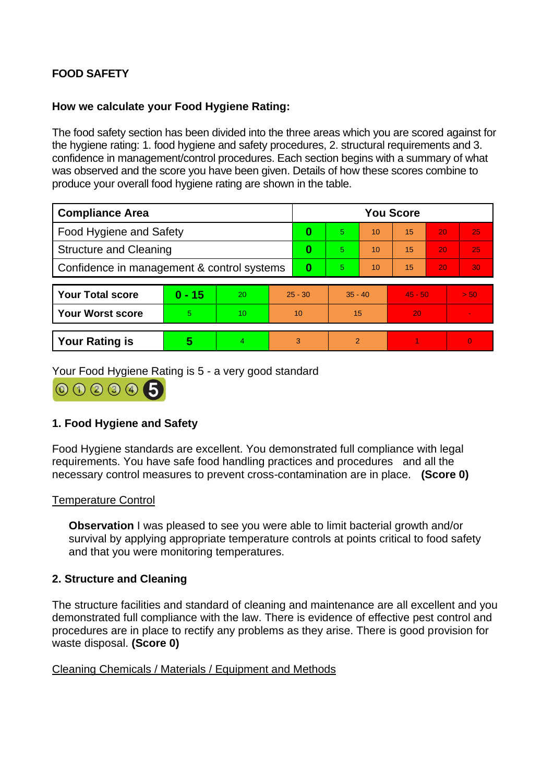# **FOOD SAFETY**

## **How we calculate your Food Hygiene Rating:**

The food safety section has been divided into the three areas which you are scored against for the hygiene rating: 1. food hygiene and safety procedures, 2. structural requirements and 3. confidence in management/control procedures. Each section begins with a summary of what was observed and the score you have been given. Details of how these scores combine to produce your overall food hygiene rating are shown in the table.

| <b>Compliance Area</b>                     |          |    |           | <b>You Score</b> |                |    |           |    |                |  |
|--------------------------------------------|----------|----|-----------|------------------|----------------|----|-----------|----|----------------|--|
| Food Hygiene and Safety                    |          |    |           | 0                | 5.             | 10 | 15        | 20 | 25             |  |
| <b>Structure and Cleaning</b>              |          |    | 0         | 5.               | 10             | 15 | 20        | 25 |                |  |
| Confidence in management & control systems |          |    | $\bf{0}$  | 5.               | 10             | 15 | 20        | 30 |                |  |
| <b>Your Total score</b>                    | $0 - 15$ | 20 | $25 - 30$ |                  | $35 - 40$      |    | $45 - 50$ |    | > 50           |  |
|                                            |          |    |           |                  |                |    |           |    |                |  |
| <b>Your Worst score</b>                    | 5        | 10 | 10        |                  | 15             |    | 20        |    |                |  |
|                                            |          |    |           |                  |                |    |           |    |                |  |
| <b>Your Rating is</b>                      | 5        | 4  | 3         |                  | $\overline{2}$ |    |           |    | $\overline{0}$ |  |

Your Food Hygiene Rating is 5 - a very good standard

000005

## **1. Food Hygiene and Safety**

Food Hygiene standards are excellent. You demonstrated full compliance with legal requirements. You have safe food handling practices and procedures and all the necessary control measures to prevent cross-contamination are in place. **(Score 0)**

### Temperature Control

**Observation** I was pleased to see you were able to limit bacterial growth and/or survival by applying appropriate temperature controls at points critical to food safety and that you were monitoring temperatures.

### **2. Structure and Cleaning**

The structure facilities and standard of cleaning and maintenance are all excellent and you demonstrated full compliance with the law. There is evidence of effective pest control and procedures are in place to rectify any problems as they arise. There is good provision for waste disposal. **(Score 0)**

### Cleaning Chemicals / Materials / Equipment and Methods